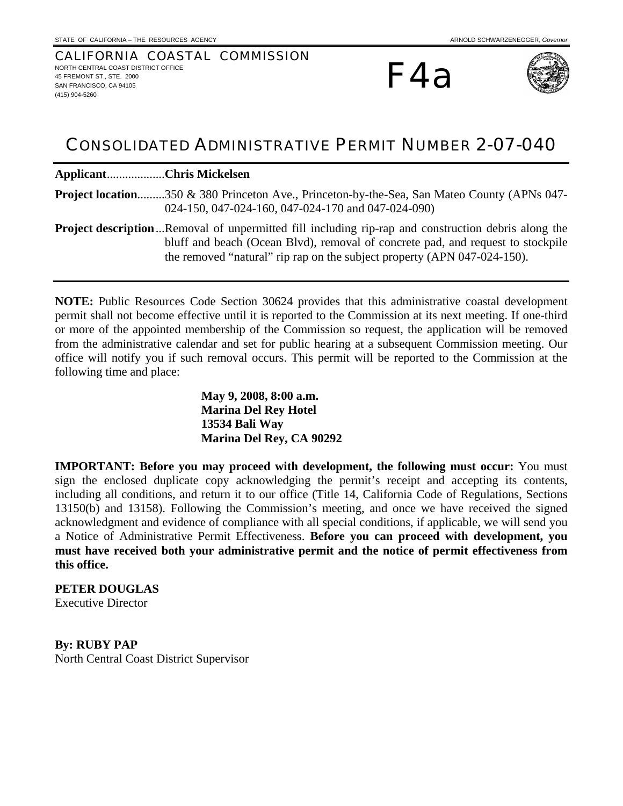#### CALIFORNIA COASTAL COMMISSION NORTH CENTRAL COAST DISTRICT OFFICE 45 FREMONT ST. STE. 2000 SAN FRANCISCO, CA 94105 (415) 904-5260

F4a



# CONSOLIDATED ADMINISTRATIVE PERMIT NUMBER 2-07-040

**Applicant**...................**Chris Mickelsen** 

**Project location**.........350 & 380 Princeton Ave., Princeton-by-the-Sea, San Mateo County (APNs 047- 024-150, 047-024-160, 047-024-170 and 047-024-090)

**Project description**...Removal of unpermitted fill including rip-rap and construction debris along the bluff and beach (Ocean Blvd), removal of concrete pad, and request to stockpile the removed "natural" rip rap on the subject property (APN 047-024-150).

**NOTE:** Public Resources Code Section 30624 provides that this administrative coastal development permit shall not become effective until it is reported to the Commission at its next meeting. If one-third or more of the appointed membership of the Commission so request, the application will be removed from the administrative calendar and set for public hearing at a subsequent Commission meeting. Our office will notify you if such removal occurs. This permit will be reported to the Commission at the following time and place:

> **May 9, 2008, 8:00 a.m. Marina Del Rey Hotel 13534 Bali Way Marina Del Rey, CA 90292**

**IMPORTANT: Before you may proceed with development, the following must occur:** You must sign the enclosed duplicate copy acknowledging the permit's receipt and accepting its contents, including all conditions, and return it to our office (Title 14, California Code of Regulations, Sections 13150(b) and 13158). Following the Commission's meeting, and once we have received the signed acknowledgment and evidence of compliance with all special conditions, if applicable, we will send you a Notice of Administrative Permit Effectiveness. **Before you can proceed with development, you must have received both your administrative permit and the notice of permit effectiveness from this office.** 

#### **PETER DOUGLAS**

Executive Director

**By: RUBY PAP**  North Central Coast District Supervisor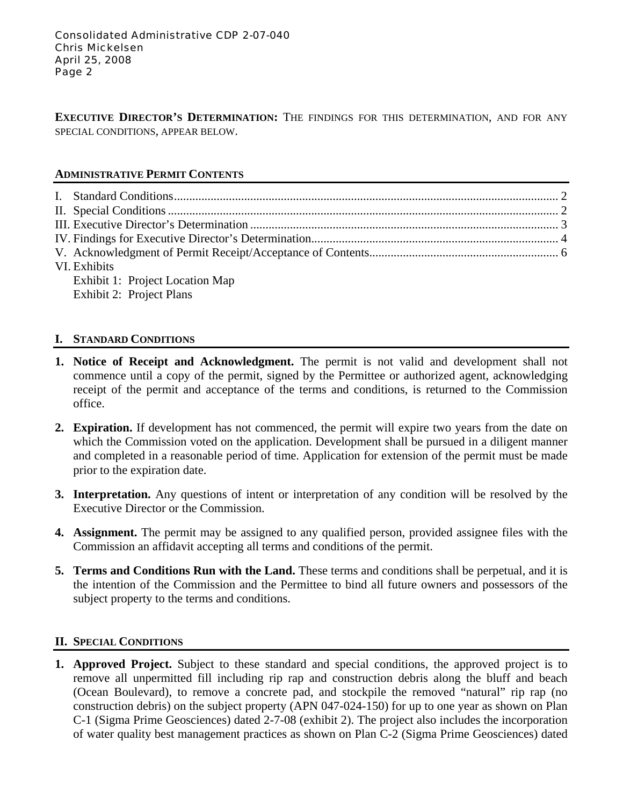**EXECUTIVE DIRECTOR'S DETERMINATION:** THE FINDINGS FOR THIS DETERMINATION, AND FOR ANY SPECIAL CONDITIONS, APPEAR BELOW.

## **ADMINISTRATIVE PERMIT CONTENTS**

| VI. Exhibits                    |  |
|---------------------------------|--|
| Exhibit 1: Project Location Map |  |
| Exhibit 2: Project Plans        |  |

# **I. STANDARD CONDITIONS**

- **1. Notice of Receipt and Acknowledgment.** The permit is not valid and development shall not commence until a copy of the permit, signed by the Permittee or authorized agent, acknowledging receipt of the permit and acceptance of the terms and conditions, is returned to the Commission office.
- **2. Expiration.** If development has not commenced, the permit will expire two years from the date on which the Commission voted on the application. Development shall be pursued in a diligent manner and completed in a reasonable period of time. Application for extension of the permit must be made prior to the expiration date.
- **3. Interpretation.** Any questions of intent or interpretation of any condition will be resolved by the Executive Director or the Commission.
- **4. Assignment.** The permit may be assigned to any qualified person, provided assignee files with the Commission an affidavit accepting all terms and conditions of the permit.
- **5. Terms and Conditions Run with the Land.** These terms and conditions shall be perpetual, and it is the intention of the Commission and the Permittee to bind all future owners and possessors of the subject property to the terms and conditions.

### **II. SPECIAL CONDITIONS**

**1. Approved Project.** Subject to these standard and special conditions, the approved project is to remove all unpermitted fill including rip rap and construction debris along the bluff and beach (Ocean Boulevard), to remove a concrete pad, and stockpile the removed "natural" rip rap (no construction debris) on the subject property (APN 047-024-150) for up to one year as shown on Plan C-1 (Sigma Prime Geosciences) dated 2-7-08 (exhibit 2). The project also includes the incorporation of water quality best management practices as shown on Plan C-2 (Sigma Prime Geosciences) dated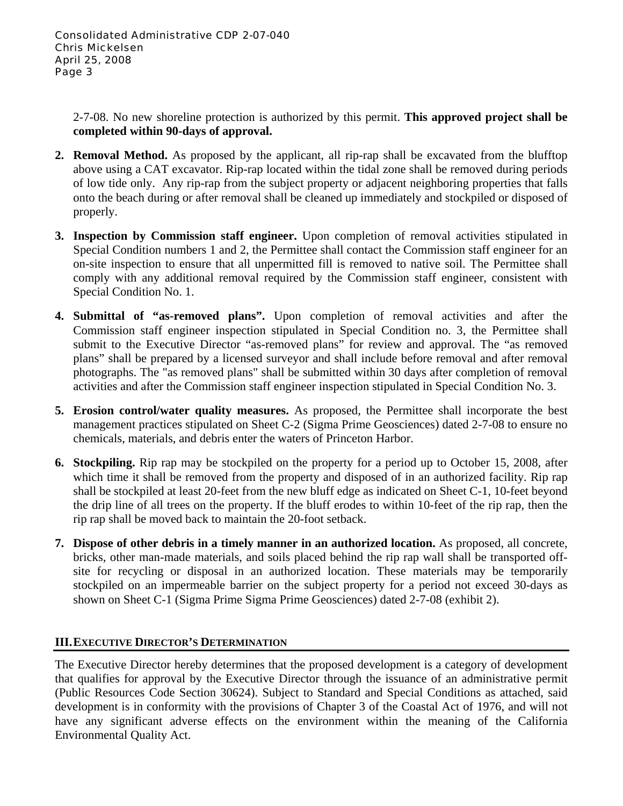2-7-08. No new shoreline protection is authorized by this permit. **This approved project shall be completed within 90-days of approval.**

- **2. Removal Method.** As proposed by the applicant, all rip-rap shall be excavated from the blufftop above using a CAT excavator. Rip-rap located within the tidal zone shall be removed during periods of low tide only. Any rip-rap from the subject property or adjacent neighboring properties that falls onto the beach during or after removal shall be cleaned up immediately and stockpiled or disposed of properly.
- **3. Inspection by Commission staff engineer.** Upon completion of removal activities stipulated in Special Condition numbers 1 and 2, the Permittee shall contact the Commission staff engineer for an on-site inspection to ensure that all unpermitted fill is removed to native soil. The Permittee shall comply with any additional removal required by the Commission staff engineer, consistent with Special Condition No. 1.
- **4. Submittal of "as-removed plans".** Upon completion of removal activities and after the Commission staff engineer inspection stipulated in Special Condition no. 3, the Permittee shall submit to the Executive Director "as-removed plans" for review and approval. The "as removed plans" shall be prepared by a licensed surveyor and shall include before removal and after removal photographs. The "as removed plans" shall be submitted within 30 days after completion of removal activities and after the Commission staff engineer inspection stipulated in Special Condition No. 3.
- **5. Erosion control/water quality measures.** As proposed, the Permittee shall incorporate the best management practices stipulated on Sheet C-2 (Sigma Prime Geosciences) dated 2-7-08 to ensure no chemicals, materials, and debris enter the waters of Princeton Harbor.
- **6. Stockpiling.** Rip rap may be stockpiled on the property for a period up to October 15, 2008, after which time it shall be removed from the property and disposed of in an authorized facility. Rip rap shall be stockpiled at least 20-feet from the new bluff edge as indicated on Sheet C-1, 10-feet beyond the drip line of all trees on the property. If the bluff erodes to within 10-feet of the rip rap, then the rip rap shall be moved back to maintain the 20-foot setback.
- **7. Dispose of other debris in a timely manner in an authorized location.** As proposed, all concrete, bricks, other man-made materials, and soils placed behind the rip rap wall shall be transported offsite for recycling or disposal in an authorized location. These materials may be temporarily stockpiled on an impermeable barrier on the subject property for a period not exceed 30-days as shown on Sheet C-1 (Sigma Prime Sigma Prime Geosciences) dated 2-7-08 (exhibit 2).

### **III. EXECUTIVE DIRECTOR'S DETERMINATION**

The Executive Director hereby determines that the proposed development is a category of development that qualifies for approval by the Executive Director through the issuance of an administrative permit (Public Resources Code Section 30624). Subject to Standard and Special Conditions as attached, said development is in conformity with the provisions of Chapter 3 of the Coastal Act of 1976, and will not have any significant adverse effects on the environment within the meaning of the California Environmental Quality Act.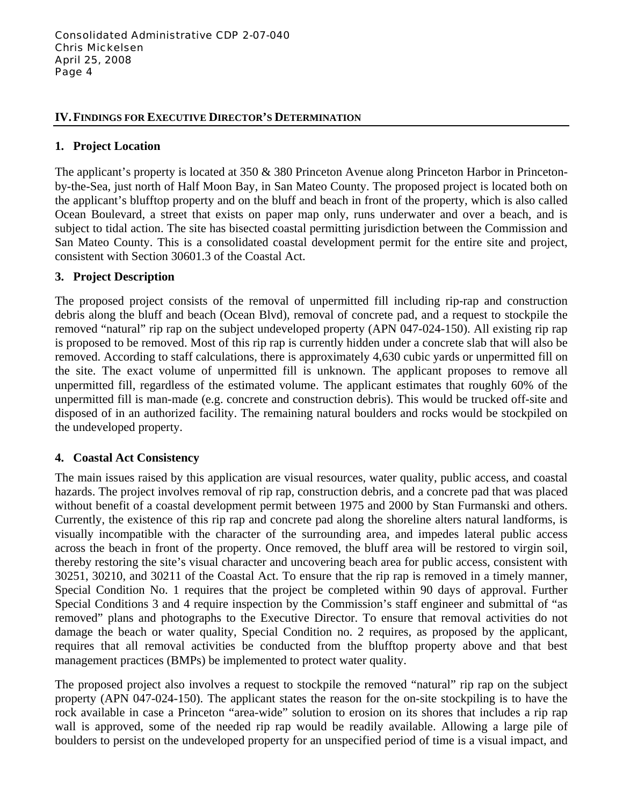#### **IV. FINDINGS FOR EXECUTIVE DIRECTOR'S DETERMINATION**

#### **1. Project Location**

The applicant's property is located at 350 & 380 Princeton Avenue along Princeton Harbor in Princetonby-the-Sea, just north of Half Moon Bay, in San Mateo County. The proposed project is located both on the applicant's blufftop property and on the bluff and beach in front of the property, which is also called Ocean Boulevard, a street that exists on paper map only, runs underwater and over a beach, and is subject to tidal action. The site has bisected coastal permitting jurisdiction between the Commission and San Mateo County. This is a consolidated coastal development permit for the entire site and project, consistent with Section 30601.3 of the Coastal Act.

#### **3. Project Description**

The proposed project consists of the removal of unpermitted fill including rip-rap and construction debris along the bluff and beach (Ocean Blvd), removal of concrete pad, and a request to stockpile the removed "natural" rip rap on the subject undeveloped property (APN 047-024-150). All existing rip rap is proposed to be removed. Most of this rip rap is currently hidden under a concrete slab that will also be removed. According to staff calculations, there is approximately 4,630 cubic yards or unpermitted fill on the site. The exact volume of unpermitted fill is unknown. The applicant proposes to remove all unpermitted fill, regardless of the estimated volume. The applicant estimates that roughly 60% of the unpermitted fill is man-made (e.g. concrete and construction debris). This would be trucked off-site and disposed of in an authorized facility. The remaining natural boulders and rocks would be stockpiled on the undeveloped property.

### **4. Coastal Act Consistency**

The main issues raised by this application are visual resources, water quality, public access, and coastal hazards. The project involves removal of rip rap, construction debris, and a concrete pad that was placed without benefit of a coastal development permit between 1975 and 2000 by Stan Furmanski and others. Currently, the existence of this rip rap and concrete pad along the shoreline alters natural landforms, is visually incompatible with the character of the surrounding area, and impedes lateral public access across the beach in front of the property. Once removed, the bluff area will be restored to virgin soil, thereby restoring the site's visual character and uncovering beach area for public access, consistent with 30251, 30210, and 30211 of the Coastal Act. To ensure that the rip rap is removed in a timely manner, Special Condition No. 1 requires that the project be completed within 90 days of approval. Further Special Conditions 3 and 4 require inspection by the Commission's staff engineer and submittal of "as removed" plans and photographs to the Executive Director. To ensure that removal activities do not damage the beach or water quality, Special Condition no. 2 requires, as proposed by the applicant, requires that all removal activities be conducted from the blufftop property above and that best management practices (BMPs) be implemented to protect water quality.

The proposed project also involves a request to stockpile the removed "natural" rip rap on the subject property (APN 047-024-150). The applicant states the reason for the on-site stockpiling is to have the rock available in case a Princeton "area-wide" solution to erosion on its shores that includes a rip rap wall is approved, some of the needed rip rap would be readily available. Allowing a large pile of boulders to persist on the undeveloped property for an unspecified period of time is a visual impact, and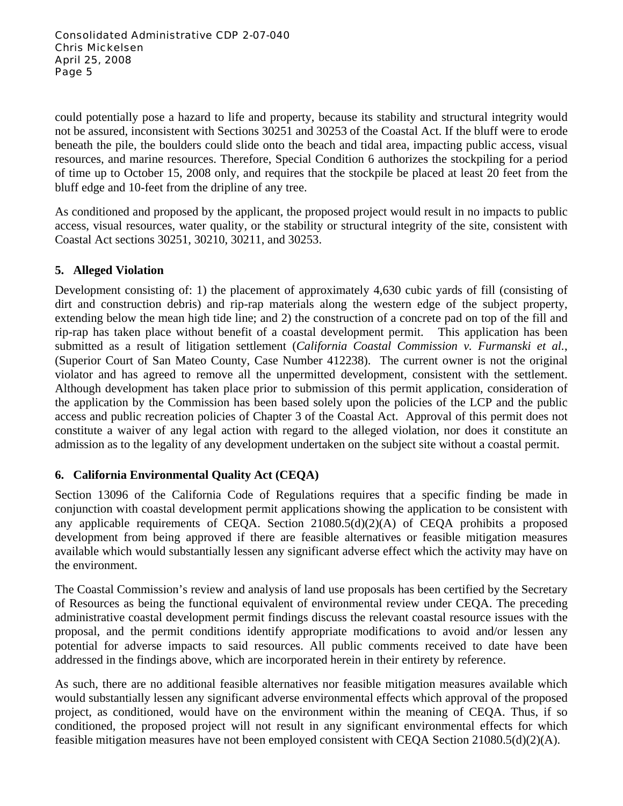could potentially pose a hazard to life and property, because its stability and structural integrity would not be assured, inconsistent with Sections 30251 and 30253 of the Coastal Act. If the bluff were to erode beneath the pile, the boulders could slide onto the beach and tidal area, impacting public access, visual resources, and marine resources. Therefore, Special Condition 6 authorizes the stockpiling for a period of time up to October 15, 2008 only, and requires that the stockpile be placed at least 20 feet from the bluff edge and 10-feet from the dripline of any tree.

As conditioned and proposed by the applicant, the proposed project would result in no impacts to public access, visual resources, water quality, or the stability or structural integrity of the site, consistent with Coastal Act sections 30251, 30210, 30211, and 30253.

# **5. Alleged Violation**

Development consisting of: 1) the placement of approximately 4,630 cubic yards of fill (consisting of dirt and construction debris) and rip-rap materials along the western edge of the subject property, extending below the mean high tide line; and 2) the construction of a concrete pad on top of the fill and rip-rap has taken place without benefit of a coastal development permit. This application has been submitted as a result of litigation settlement (*California Coastal Commission v. Furmanski et al.*, (Superior Court of San Mateo County, Case Number 412238). The current owner is not the original violator and has agreed to remove all the unpermitted development, consistent with the settlement. Although development has taken place prior to submission of this permit application, consideration of the application by the Commission has been based solely upon the policies of the LCP and the public access and public recreation policies of Chapter 3 of the Coastal Act. Approval of this permit does not constitute a waiver of any legal action with regard to the alleged violation, nor does it constitute an admission as to the legality of any development undertaken on the subject site without a coastal permit.

# **6. California Environmental Quality Act (CEQA)**

Section 13096 of the California Code of Regulations requires that a specific finding be made in conjunction with coastal development permit applications showing the application to be consistent with any applicable requirements of CEQA. Section 21080.5(d)(2)(A) of CEQA prohibits a proposed development from being approved if there are feasible alternatives or feasible mitigation measures available which would substantially lessen any significant adverse effect which the activity may have on the environment.

The Coastal Commission's review and analysis of land use proposals has been certified by the Secretary of Resources as being the functional equivalent of environmental review under CEQA. The preceding administrative coastal development permit findings discuss the relevant coastal resource issues with the proposal, and the permit conditions identify appropriate modifications to avoid and/or lessen any potential for adverse impacts to said resources. All public comments received to date have been addressed in the findings above, which are incorporated herein in their entirety by reference.

As such, there are no additional feasible alternatives nor feasible mitigation measures available which would substantially lessen any significant adverse environmental effects which approval of the proposed project, as conditioned, would have on the environment within the meaning of CEQA. Thus, if so conditioned, the proposed project will not result in any significant environmental effects for which feasible mitigation measures have not been employed consistent with CEQA Section  $21080.5(d)(2)(A)$ .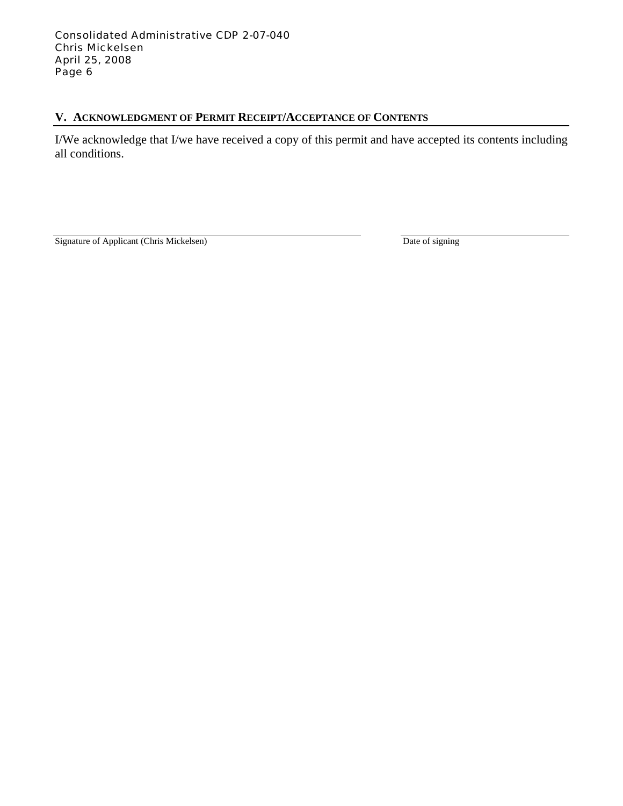# **V. ACKNOWLEDGMENT OF PERMIT RECEIPT/ACCEPTANCE OF CONTENTS**

I/We acknowledge that I/we have received a copy of this permit and have accepted its contents including all conditions.

Signature of Applicant (Chris Mickelsen) Date of signing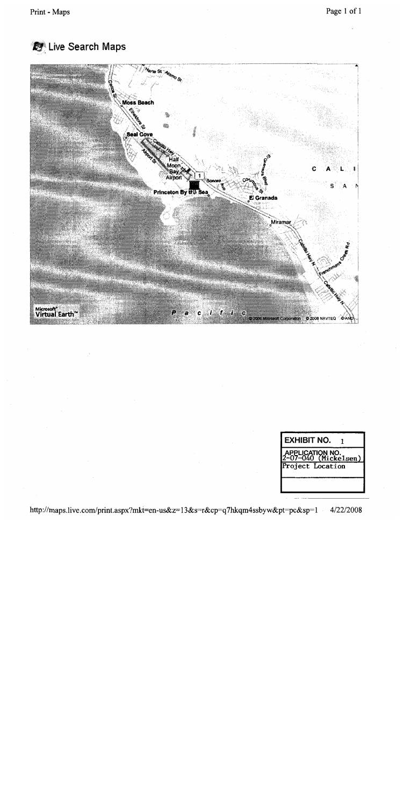



| <b>EXHIBIT NO.</b>                                           |
|--------------------------------------------------------------|
| APPLICATION NO <mark>.</mark><br>!~07—040(Mic <u>kelsen)</u> |
| Project Location                                             |
|                                                              |